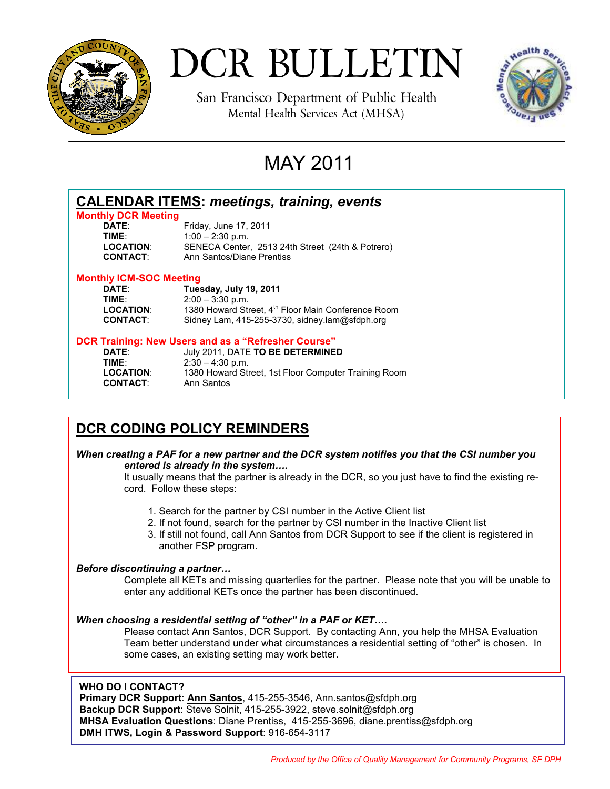

# DCR BULLETIN

San Francisco Department of Public Health Mental Health Services Act (MHSA)



## MAY 2011

| <b>CALENDAR ITEMS: meetings, training, events</b><br><b>Monthly DCR Meeting</b> |                                                      |
|---------------------------------------------------------------------------------|------------------------------------------------------|
|                                                                                 |                                                      |
| TIME:                                                                           | $1:00 - 2:30$ p.m.                                   |
| <b>LOCATION:</b>                                                                | SENECA Center, 2513 24th Street (24th & Potrero)     |
| <b>CONTACT:</b>                                                                 | Ann Santos/Diane Prentiss                            |
| <b>Monthly ICM-SOC Meeting</b>                                                  |                                                      |
| <b>DATE:</b>                                                                    | Tuesday, July 19, 2011                               |
| TIME:                                                                           | $2:00 - 3:30$ p.m.                                   |
| <b>LOCATION:</b>                                                                | 1380 Howard Street, 4th Floor Main Conference Room   |
| <b>CONTACT:</b>                                                                 | Sidney Lam, 415-255-3730, sidney.lam@sfdph.org       |
| DCR Training: New Users and as a "Refresher Course"                             |                                                      |
| <b>DATE:</b>                                                                    | July 2011, DATE TO BE DETERMINED                     |
| TIME:                                                                           | $2:30 - 4:30$ p.m.                                   |
| <b>LOCATION:</b>                                                                | 1380 Howard Street, 1st Floor Computer Training Room |

### **DCR CODING POLICY REMINDERS**

**CONTACT**: Ann Santos

### *When creating a PAF for a new partner and the DCR system notifies you that the CSI number you entered is already in the system….*

It usually means that the partner is already in the DCR, so you just have to find the existing record. Follow these steps:

- 1. Search for the partner by CSI number in the Active Client list
- 2. If not found, search for the partner by CSI number in the Inactive Client list
- 3. If still not found, call Ann Santos from DCR Support to see if the client is registered in another FSP program.

### *Before discontinuing a partner…*

Complete all KETs and missing quarterlies for the partner. Please note that you will be unable to enter any additional KETs once the partner has been discontinued.

### *When choosing a residential setting of "other" in a PAF or KET….*

Please contact Ann Santos, DCR Support. By contacting Ann, you help the MHSA Evaluation Team better understand under what circumstances a residential setting of "other" is chosen. In some cases, an existing setting may work better.

### **WHO DO I CONTACT?**

**Primary DCR Support**: **Ann Santos**, 415-255-3546, Ann.santos@sfdph.org **Backup DCR Support**: Steve Solnit, 415-255-3922, steve.solnit@sfdph.org **MHSA Evaluation Questions**: Diane Prentiss, 415-255-3696, diane.prentiss@sfdph.org **DMH ITWS, Login & Password Support**: 916-654-3117